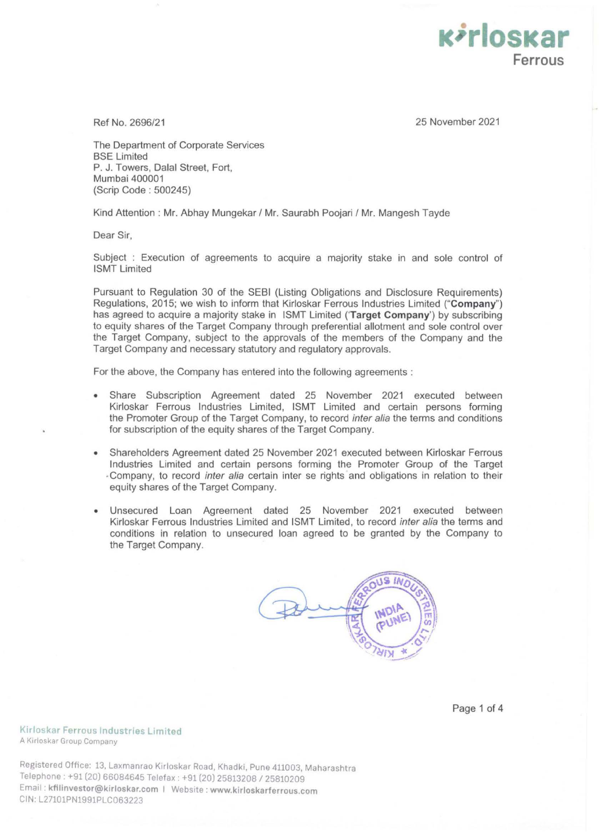**K***i*rloskar **Ferrous** 

Ref No. 2696/21 25 November 2021

The Department of Corporate Services BSE Limited P. J. Towers, Dalal Street, Fort, Mumbai 400001 (Scrip Code : 500245)

Kind Attention : Mr. Abhay Mungekar / Mr. Saurabh Poojari / Mr. Mangesh Tayde

Dear Sir,

Subject : Execution of agreements to acquire a majority stake in and sole control of ISMT Limited

Pursuant to Regulation 30 of the SEBI (listing Obligations and Disclosure Requirements) Regulations, 2015; we wish to inform that Kirloskar Ferrous Industries Limited **("Company")**  has agreed to acquire a majority stake in ISMT Limited **('Target Company')** by subscribing to equity shares of the Target Company through preferential allotment and sole control over the Target Company, subject to the approvals of the members of the Company and the Target Company and necessary statutory and regulatory approvals.

For the above, the Company has entered into the following agreements :

- Share Subscription Agreement dated 25 November 2021 executed between Kirloskar Ferrous Industries Limited, ISMT Limited and certain persons forming the Promoter Group of the Target Company, to record inter alia the terms and conditions for subscription of the equity shares of the Target Company.
- Shareholders Agreement dated 25 November 2021 executed between Kirloskar Ferrous Industries Limited and certain persons forming the Promoter Group of the Target -Company, to record inter a/ia certain inter se rights and obligations in relation to their equity shares of the Target Company.
- Unsecured Loan Agreement dated 25 November 2021 executed between Kirloskar Ferrous Industries Limited and ISMT Limited, to record inter alia the terms and conditions in relation to unsecured loan agreed to be granted by the Company to the Target Company.



Page 1 of 4

**Kirloskar Ferrous Industries Limited**  A Kirloskar Group Company

Registered Office: 13, Laxmanrao Kirloskar Road, Khadki, Pune 411003, Maharashtra Telephone : +91 (20) 66084645 Telefax: +91 (20) 25813208 / 25810209 Email: **kfilinvestor@kirloskar.com** I Website: **www.kirloskarferrous.com**  CIN: L27101PN1991PLC063223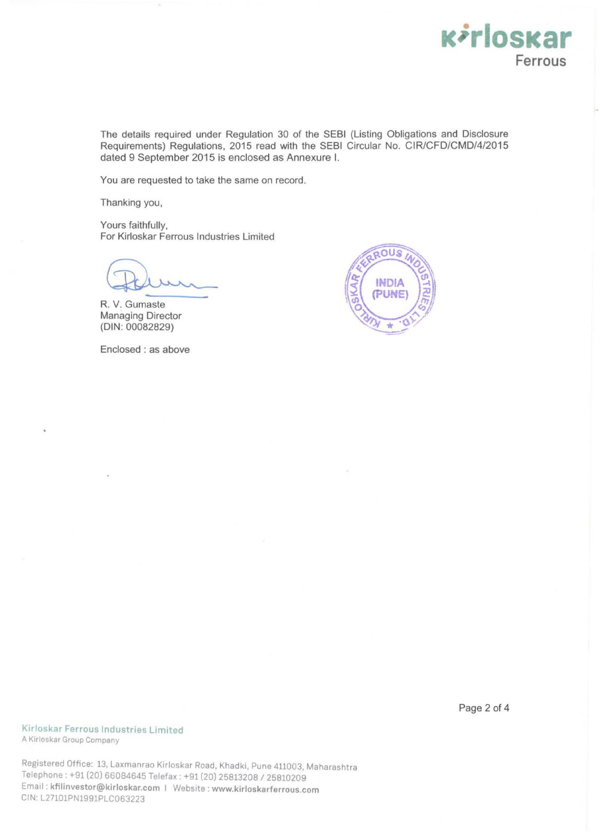

The details required under Regulation 30 of the SEBI (Listing Obligations and Disclosure Requirements) Regulations, 2015 read with the SEBI Circular No. CIR/CFD/CMD/4/2015 dated 9 September 2015 is enclosed as Annexure I.

You are requested to take the same on record.

Thanking you,

Yours faithfully, For Kirloskar Ferrous Industries Limited

R. V. Gumaste Managing Director **(DIN:** 00082829)

Enclosed : as above



**Kirloskar Ferrous Industries Limited**  A Kirloskar Group Company

Registered Office: 13, Laxmanrao Kirloskar Road, Khadk1, Pune 411003, Maharashtra Telephone: +91 (20) 66084645 Telefax: +91 (20) 25813208 / 25810209 Email: **kfilinvestor@kirloskar.com** I Website: **www.kirloskarferrous.com**  CIN:L27101PN1991PLC063223

Page 2 of **4**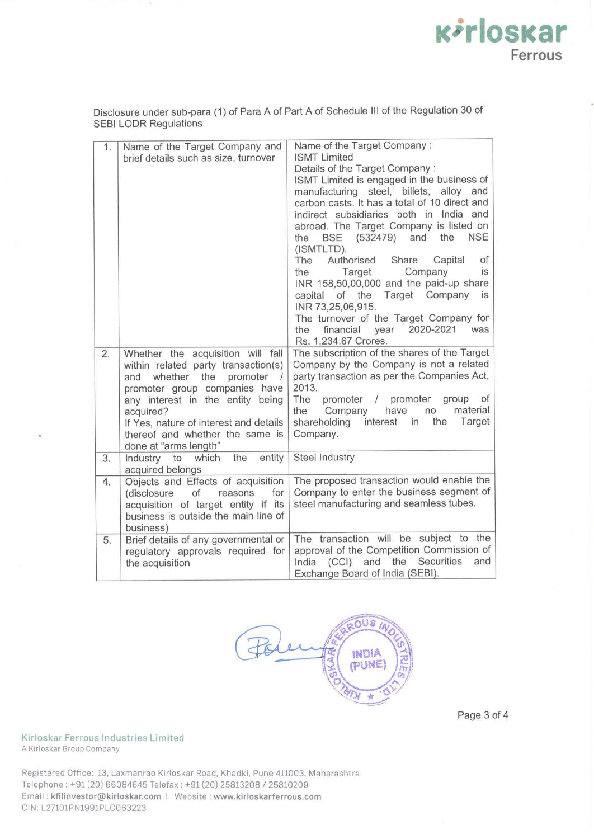Disclosure under sub-para (1) of Para A of Part A of Schedule Ill of the Regulation 30 of SEBI LODR Regulations

|    |                                                                        | Name of the Target Company:                                                         |
|----|------------------------------------------------------------------------|-------------------------------------------------------------------------------------|
| 1. | Name of the Target Company and<br>brief details such as size, turnover | <b>ISMT Limited</b>                                                                 |
|    |                                                                        | Details of the Target Company:                                                      |
|    |                                                                        | ISMT Limited is engaged in the business of                                          |
|    |                                                                        | manufacturing steel, billets, alloy and                                             |
|    |                                                                        | carbon casts. It has a total of 10 direct and                                       |
|    |                                                                        | indirect subsidiaries both in India and                                             |
|    |                                                                        |                                                                                     |
|    |                                                                        | abroad. The Target Company is listed on                                             |
|    |                                                                        | (532479) and<br>the<br><b>NSE</b><br><b>BSE</b><br>the                              |
|    |                                                                        | (ISMTLTD).                                                                          |
|    |                                                                        | The<br>Authorised<br>Share<br>Capital<br>of                                         |
|    |                                                                        | Target<br>Company<br>is<br>the                                                      |
|    |                                                                        | INR 158,50,00,000 and the paid-up share                                             |
|    |                                                                        | capital of the Target Company is                                                    |
|    |                                                                        | INR 73,25,06,915.                                                                   |
|    |                                                                        | The turnover of the Target Company for                                              |
|    |                                                                        | 2020-2021<br>financial year<br>was<br>the                                           |
|    |                                                                        | Rs. 1,234.67 Crores.                                                                |
| 2. | Whether the acquisition will fall                                      | The subscription of the shares of the Target                                        |
|    | within related party transaction(s)                                    | Company by the Company is not a related                                             |
|    | whether the<br>promoter /<br>and                                       | party transaction as per the Companies Act,                                         |
|    | promoter group companies have                                          | 2013.                                                                               |
|    | any interest in the entity being                                       | The<br>promoter /<br>promoter<br>group<br><b>of</b><br>material                     |
|    | acquired?                                                              | have<br>the<br>Company<br>no                                                        |
|    | If Yes, nature of interest and details                                 | Target<br>shareholding<br>interest<br>the<br>in                                     |
|    | thereof and whether the same is                                        | Company.                                                                            |
|    | done at "arms length"                                                  |                                                                                     |
| 3. | the<br>entity<br>Industry to<br>which                                  | <b>Steel Industry</b>                                                               |
|    | acquired belongs                                                       |                                                                                     |
| 4. | Objects and Effects of acquisition                                     | The proposed transaction would enable the                                           |
|    | reasons<br>for<br>(disclosure<br>of                                    | Company to enter the business segment of                                            |
|    | acquisition of target entity if its                                    | steel manufacturing and seamless tubes.                                             |
|    | business is outside the main line of                                   |                                                                                     |
|    | business)                                                              |                                                                                     |
| 5. | Brief details of any governmental or                                   | The transaction will be subject to the<br>approval of the Competition Commission of |
|    | regulatory approvals required for                                      | Securities                                                                          |
|    | the acquisition                                                        | the<br>(CCI) and<br>and<br>India                                                    |
|    |                                                                        | Exchange Board of India (SEBI).                                                     |

 $\overline{a}$ Us INDIA DUNE

Page 3 of 4

**Kirloskar** 

**Ferrous** 

**Kirloskar Ferrous Industries Limited**  A Kirloskar Group Company

Registered Office: 13, Laxmanrao Kirloskar Road, Khadki, Pune 411003, Maharashtra Telephone: +91 (20) 66084645 Telefax: +91 (20) 25813208 / 25810209 Email: **kfilinvestor@kirloskar.com** I Website: **www.kirloskarferrous.com**  CIN·L27101PN1991PLC063223